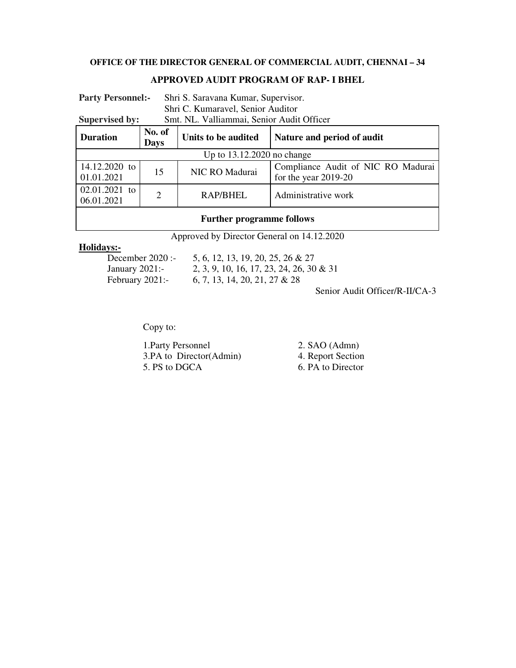# **OFFICE OF THE DIRECTOR GENERAL OF COMMERCIAL AUDIT, CHENNAI – 34**

### **APPROVED AUDIT PROGRAM OF RAP- I BHEL**

| <b>Party Personnel:-</b>                                           |                       | Shri S. Saravana Kumar, Supervisor. |                                                              |  |
|--------------------------------------------------------------------|-----------------------|-------------------------------------|--------------------------------------------------------------|--|
|                                                                    |                       | Shri C. Kumaravel, Senior Auditor   |                                                              |  |
| Smt. NL. Valliammai, Senior Audit Officer<br><b>Supervised by:</b> |                       |                                     |                                                              |  |
| <b>Duration</b>                                                    | No. of<br><b>Days</b> | Units to be audited                 | Nature and period of audit                                   |  |
| Up to $13.12.2020$ no change                                       |                       |                                     |                                                              |  |
| 14.12.2020 to<br>01.01.2021                                        | 15                    | NIC RO Madurai                      | Compliance Audit of NIC RO Madurai<br>for the year $2019-20$ |  |
| $02.01.2021$ to<br>06.01.2021                                      | $\overline{2}$        | RAP/BHEL                            | Administrative work                                          |  |
|                                                                    |                       |                                     |                                                              |  |

# **Further programme follows**

Approved by Director General on 14.12.2020

**Holidays:-**

5, 6, 12, 13, 19, 20, 25, 26 & 27 January 2021:- 2, 3, 9, 10, 16, 17, 23, 24, 26, 30 & 31 February 2021:- 6, 7, 13, 14, 20, 21, 27 & 28

Senior Audit Officer/R-II/CA-3

Copy to:

1. Party Personnel 2. SAO (Admn)<br>3. PA to Director(Admin) 4. Report Section 3.PA to Director(Admin)<br>5. PS to DGCA

6. PA to Director